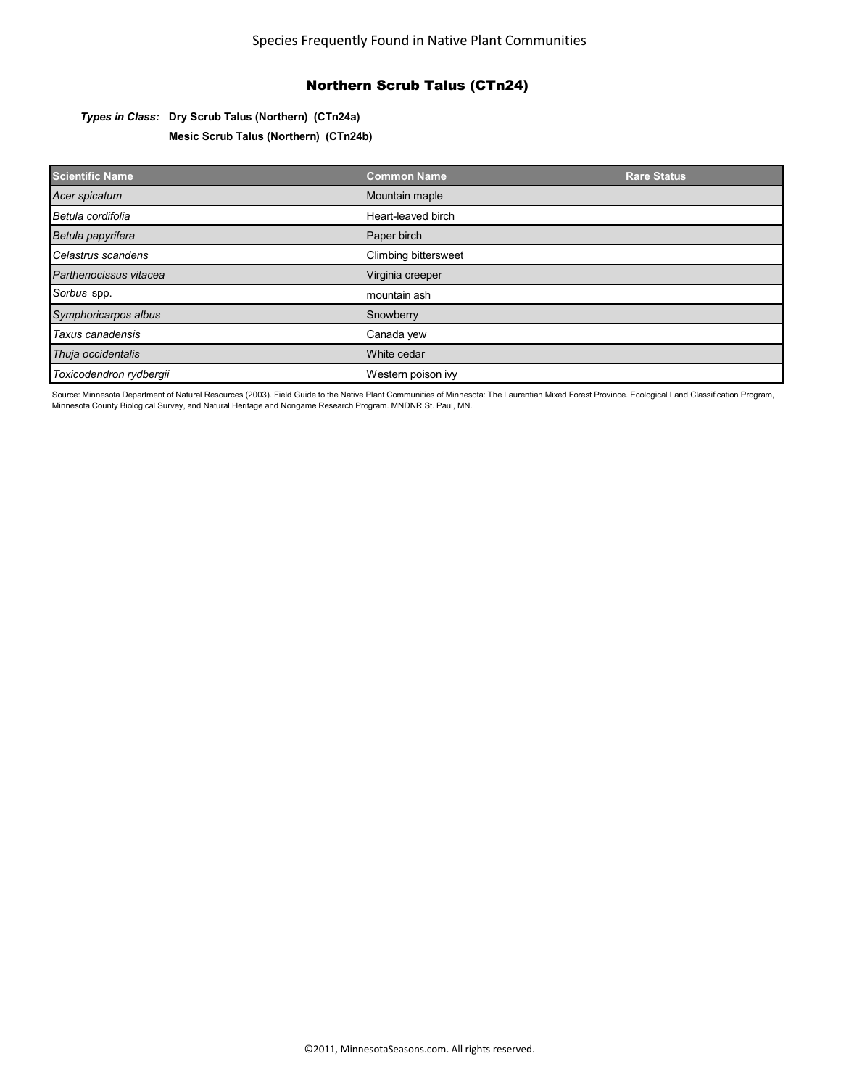# Northern Scrub Talus (CTn24)

### *Types in Class:* **Dry Scrub Talus (Northern) (CTn24a)**

**Mesic Scrub Talus (Northern) (CTn24b)**

| <b>Scientific Name</b>  | <b>Common Name</b>   | <b>Rare Status</b> |
|-------------------------|----------------------|--------------------|
| Acer spicatum           | Mountain maple       |                    |
| Betula cordifolia       | Heart-leaved birch   |                    |
| Betula papyrifera       | Paper birch          |                    |
| Celastrus scandens      | Climbing bittersweet |                    |
| Parthenocissus vitacea  | Virginia creeper     |                    |
| Sorbus spp.             | mountain ash         |                    |
| Symphoricarpos albus    | Snowberry            |                    |
| Taxus canadensis        | Canada yew           |                    |
| Thuja occidentalis      | White cedar          |                    |
| Toxicodendron rydbergii | Western poison ivy   |                    |

Source: Minnesota Department of Natural Resources (2003). Field Guide to the Native Plant Communities of Minnesota: The Laurentian Mixed Forest Province. Ecological Land Classification Program, Minnesota County Biological Survey, and Natural Heritage and Nongame Research Program. MNDNR St. Paul, MN.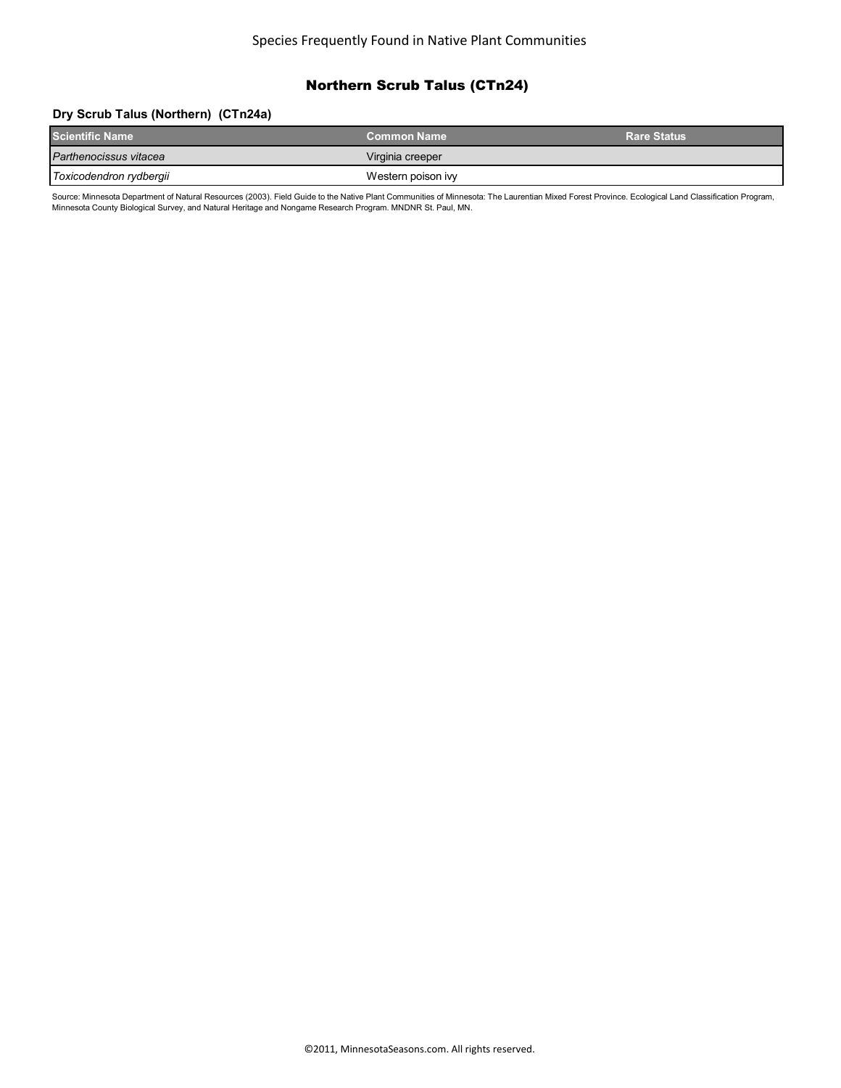# Northern Scrub Talus (CTn24)

### **Dry Scrub Talus (Northern) (CTn24a)**

| <b>Scientific Name</b>  | <b>Common Name</b> | <b>Rare Status</b> |
|-------------------------|--------------------|--------------------|
| Parthenocissus vitacea  | Virginia creeper   |                    |
| Toxicodendron rydbergii | Western poison ivy |                    |

Source: Minnesota Department of Natural Resources (2003). Field Guide to the Native Plant Communities of Minnesota: The Laurentian Mixed Forest Province. Ecological Land Classification Program, Minnesota County Biological Survey, and Natural Heritage and Nongame Research Program. MNDNR St. Paul, MN.